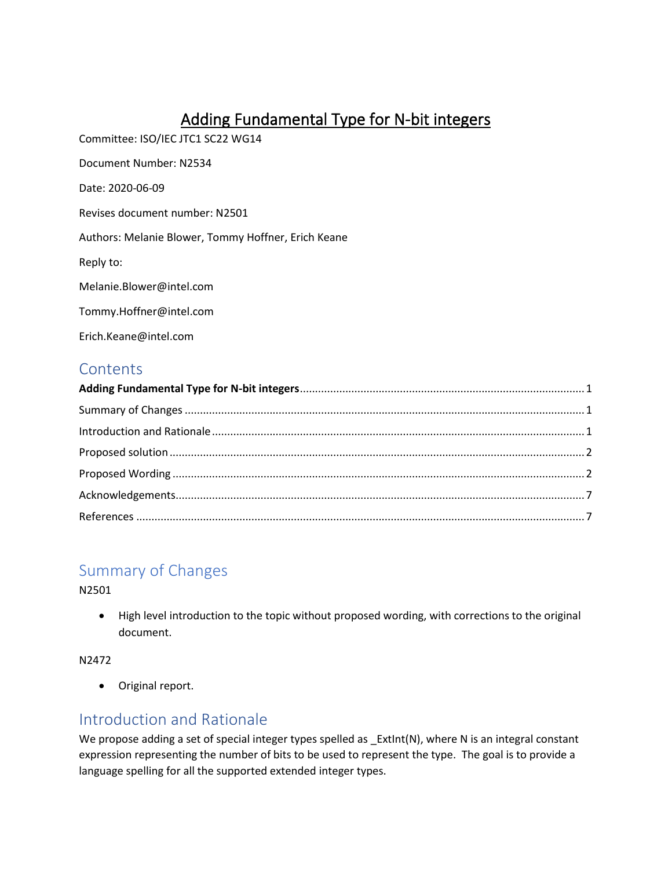# Adding Fundamental Type for N-bit integers

<span id="page-0-0"></span>Committee: ISO/IEC JTC1 SC22 WG14

Document Number: N2534

Date: 2020-06-09

Revises document number: N2501

Authors: Melanie Blower, Tommy Hoffner, Erich Keane

Reply to:

Melanie.Blower@intel.com

[Tommy.Hoffner@intel.com](mailto:Tommy.Hoffner@intel.com)

[Erich.Keane@intel.com](mailto:Erich.Keane@intel.com)

### **Contents**

## <span id="page-0-1"></span>Summary of Changes

N2501

• High level introduction to the topic without proposed wording, with corrections to the original document.

N2472

• Original report.

### <span id="page-0-2"></span>Introduction and Rationale

We propose adding a set of special integer types spelled as \_ExtInt(N), where N is an integral constant expression representing the number of bits to be used to represent the type. The goal is to provide a language spelling for all the supported extended integer types.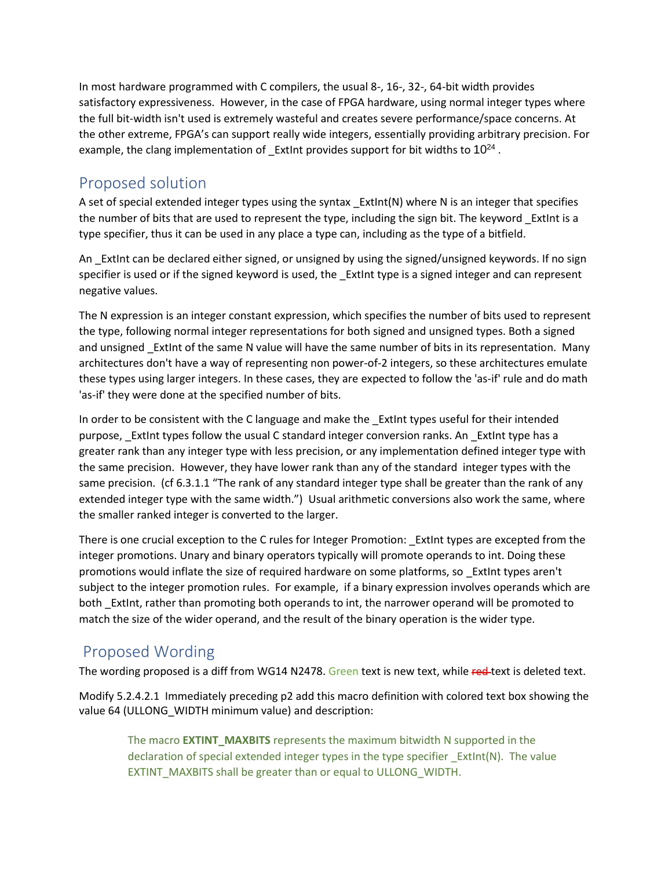In most hardware programmed with C compilers, the usual 8-, 16-, 32-, 64-bit width provides satisfactory expressiveness. However, in the case of FPGA hardware, using normal integer types where the full bit-width isn't used is extremely wasteful and creates severe performance/space concerns. At the other extreme, FPGA's can support really wide integers, essentially providing arbitrary precision. For example, the clang implementation of  $\_$  ExtInt provides support for bit widths to 10<sup>24</sup>.

### <span id="page-1-0"></span>Proposed solution

A set of special extended integer types using the syntax  $\mathsf{ExtInt}(N)$  where N is an integer that specifies the number of bits that are used to represent the type, including the sign bit. The keyword ExtInt is a type specifier, thus it can be used in any place a type can, including as the type of a bitfield.

An \_ExtInt can be declared either signed, or unsigned by using the signed/unsigned keywords. If no sign specifier is used or if the signed keyword is used, the ExtInt type is a signed integer and can represent negative values.

The N expression is an integer constant expression, which specifies the number of bits used to represent the type, following normal integer representations for both signed and unsigned types. Both a signed and unsigned ExtInt of the same N value will have the same number of bits in its representation. Many architectures don't have a way of representing non power-of-2 integers, so these architectures emulate these types using larger integers. In these cases, they are expected to follow the 'as-if' rule and do math 'as-if' they were done at the specified number of bits.

In order to be consistent with the C language and make the ExtInt types useful for their intended purpose, ExtInt types follow the usual C standard integer conversion ranks. An ExtInt type has a greater rank than any integer type with less precision, or any implementation defined integer type with the same precision. However, they have lower rank than any of the standard integer types with the same precision. (cf 6.3.1.1 "The rank of any standard integer type shall be greater than the rank of any extended integer type with the same width.") Usual arithmetic conversions also work the same, where the smaller ranked integer is converted to the larger.

There is one crucial exception to the C rules for Integer Promotion: \_ExtInt types are excepted from the integer promotions. Unary and binary operators typically will promote operands to int. Doing these promotions would inflate the size of required hardware on some platforms, so \_ExtInt types aren't subject to the integer promotion rules. For example, if a binary expression involves operands which are both \_ExtInt, rather than promoting both operands to int, the narrower operand will be promoted to match the size of the wider operand, and the result of the binary operation is the wider type.

## <span id="page-1-1"></span>Proposed Wording

The wording proposed is a diff from WG14 N2478. Green text is new text, while red-text is deleted text.

Modify 5.2.4.2.1 Immediately preceding p2 add this macro definition with colored text box showing the value 64 (ULLONG\_WIDTH minimum value) and description:

The macro **EXTINT\_MAXBITS** represents the maximum bitwidth N supported in the declaration of special extended integer types in the type specifier \_ExtInt(N). The value EXTINT\_MAXBITS shall be greater than or equal to ULLONG\_WIDTH.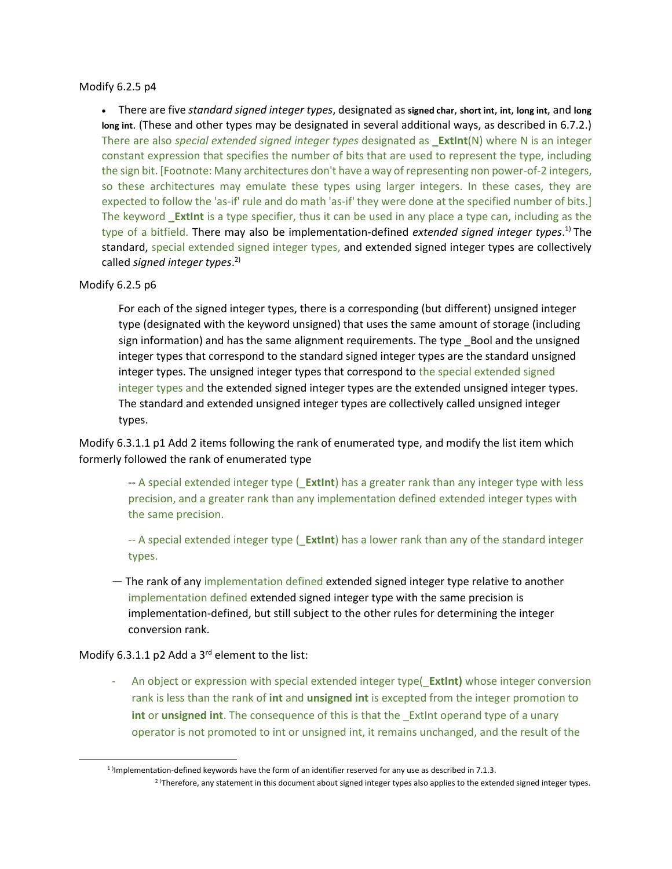#### Modify 6.2.5 p4

• There are five *standard signed integer types*, designated as **signed char**, **short int**, **int**, **long int**, and **long long int**. (These and other types may be designated in several additional ways, as described in 6.7.2.) There are also *special extended signed integer types* designated as **\_ExtInt**(N) where N is an integer constant expression that specifies the number of bits that are used to represent the type, including the sign bit. [Footnote: Many architectures don't have a way of representing non power-of-2 integers, so these architectures may emulate these types using larger integers. In these cases, they are expected to follow the 'as-if' rule and do math 'as-if' they were done at the specified number of bits.] The keyword **\_ExtInt** is a type specifier, thus it can be used in any place a type can, including as the type of a bitfield. There may also be implementation-defined *extended signed integer types*. 1) The standard, special extended signed integer types, and extended signed integer types are collectively called *signed integer types*. 2)

#### Modify 6.2.5 p6

For each of the signed integer types, there is a corresponding (but different) unsigned integer type (designated with the keyword unsigned) that uses the same amount of storage (including sign information) and has the same alignment requirements. The type Bool and the unsigned integer types that correspond to the standard signed integer types are the standard unsigned integer types. The unsigned integer types that correspond to the special extended signed integer types and the extended signed integer types are the extended unsigned integer types. The standard and extended unsigned integer types are collectively called unsigned integer types.

Modify 6.3.1.1 p1 Add 2 items following the rank of enumerated type, and modify the list item which formerly followed the rank of enumerated type

-- A special extended integer type (\_**ExtInt**) has a greater rank than any integer type with less precision, and a greater rank than any implementation defined extended integer types with the same precision.

-- A special extended integer type (\_**ExtInt**) has a lower rank than any of the standard integer types.

— The rank of any implementation defined extended signed integer type relative to another implementation defined extended signed integer type with the same precision is implementation-defined, but still subject to the other rules for determining the integer conversion rank.

Modify 6.3.1.1 p2 Add a 3<sup>rd</sup> element to the list:

- An object or expression with special extended integer type(\_**ExtInt)** whose integer conversion rank is less than the rank of **int** and **unsigned int** is excepted from the integer promotion to **int** or **unsigned int**. The consequence of this is that the \_ExtInt operand type of a unary operator is not promoted to int or unsigned int, it remains unchanged, and the result of the

 $1$  lmplementation-defined keywords have the form of an identifier reserved for any use as described in 7.1.3.

<sup>&</sup>lt;sup>2</sup>)Therefore, any statement in this document about signed integer types also applies to the extended signed integer types.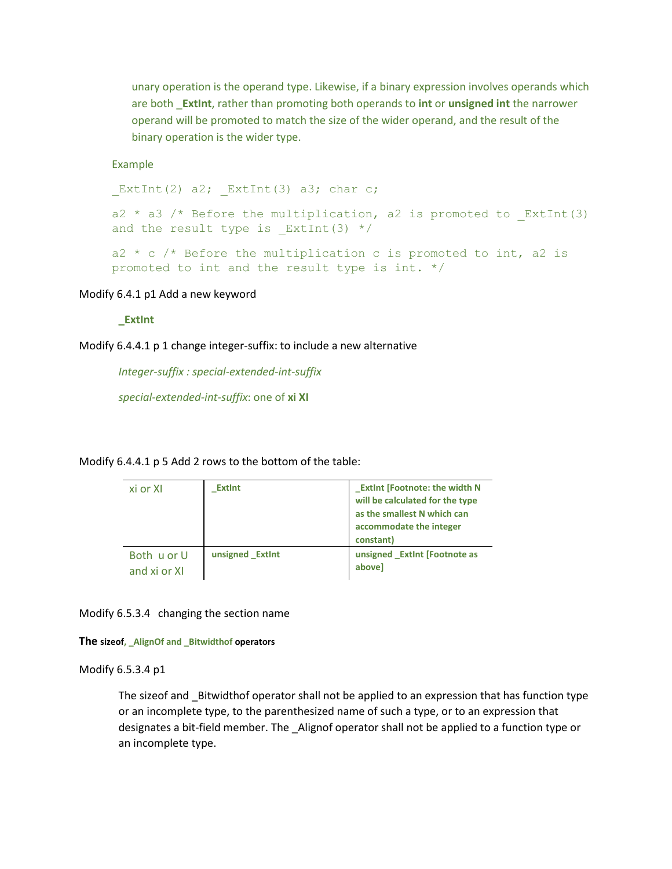unary operation is the operand type. Likewise, if a binary expression involves operands which are both \_**ExtInt**, rather than promoting both operands to **int** or **unsigned int** the narrower operand will be promoted to match the size of the wider operand, and the result of the binary operation is the wider type.

#### Example

ExtInt(2) a2; ExtInt(3) a3; char c;

a2  $*$  a3 /\* Before the multiplication, a2 is promoted to ExtInt(3) and the result type is ExtInt(3)  $*/$ 

 $a2 * c$  /\* Before the multiplication c is promoted to int, a2 is promoted to int and the result type is int. \*/

#### Modify 6.4.1 p1 Add a new keyword

#### **\_ExtInt**

Modify 6.4.4.1 p 1 change integer-suffix: to include a new alternative

*Integer-suffix : special-extended-int-suffix*

*special-extended-int-suffix*: one of **xi XI**

#### Modify 6.4.4.1 p 5 Add 2 rows to the bottom of the table:

| xi or XI                    | <b>Extint</b>   | <b>Extint [Footnote: the width N</b><br>will be calculated for the type<br>as the smallest N which can<br>accommodate the integer<br>constant) |
|-----------------------------|-----------------|------------------------------------------------------------------------------------------------------------------------------------------------|
| Both u or U<br>and xi or XI | unsigned ExtInt | unsigned Extint [Footnote as<br>abovel                                                                                                         |

Modify 6.5.3.4 changing the section name

#### **The sizeof, \_AlignOf and \_Bitwidthof operators**

#### Modify 6.5.3.4 p1

The sizeof and Bitwidthof operator shall not be applied to an expression that has function type or an incomplete type, to the parenthesized name of such a type, or to an expression that designates a bit-field member. The \_Alignof operator shall not be applied to a function type or an incomplete type.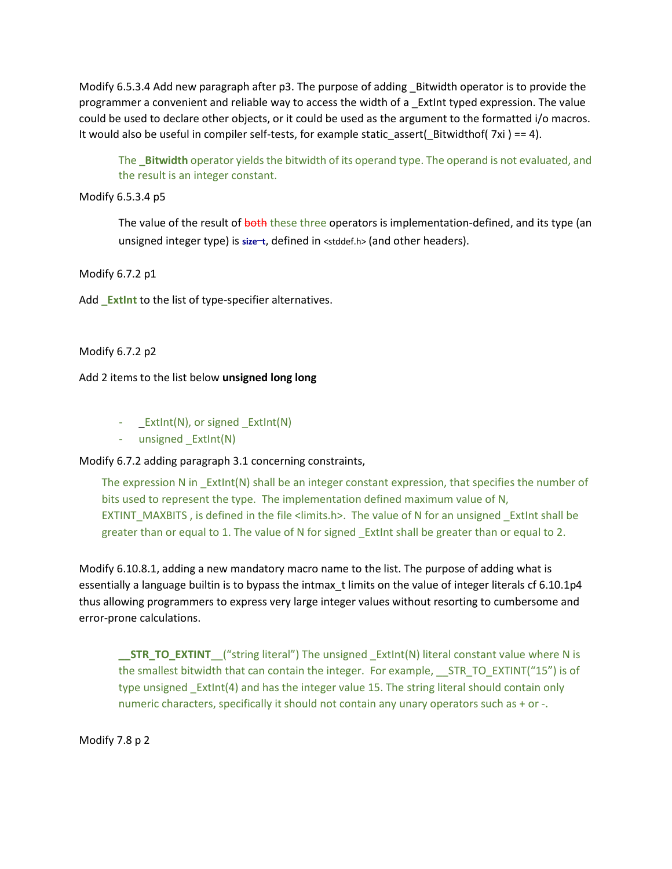Modify 6.5.3.4 Add new paragraph after p3. The purpose of adding \_Bitwidth operator is to provide the programmer a convenient and reliable way to access the width of a \_ExtInt typed expression. The value could be used to declare other objects, or it could be used as the argument to the formatted i/o macros. It would also be useful in compiler self-tests, for example static\_assert(\_Bitwidthof( $7xi$ ) == 4).

The **Bitwidth** operator yields the bitwidth of its operand type. The operand is not evaluated, and the result is an integer constant.

Modify 6.5.3.4 p5

The value of the result of both these three operators is implementation-defined, and its type (an unsigned integer type) is size-t, defined in <stddef.h> (and other headers).

Modify 6.7.2 p1

Add **\_ExtInt** to the list of type-specifier alternatives.

Modify 6.7.2 p2

Add 2 items to the list below **unsigned long long**

- \_ExtInt(N), or signed \_ExtInt(N)
- unsigned \_ExtInt(N)

Modify 6.7.2 adding paragraph 3.1 concerning constraints,

The expression N in ExtInt(N) shall be an integer constant expression, that specifies the number of bits used to represent the type. The implementation defined maximum value of N, EXTINT\_MAXBITS , is defined in the file <limits.h>. The value of N for an unsigned ExtInt shall be greater than or equal to 1. The value of N for signed \_ExtInt shall be greater than or equal to 2.

Modify 6.10.8.1, adding a new mandatory macro name to the list. The purpose of adding what is essentially a language builtin is to bypass the intmax\_t limits on the value of integer literals cf 6.10.1p4 thus allowing programmers to express very large integer values without resorting to cumbersome and error-prone calculations.

**\_\_STR\_TO\_EXTINT**\_\_("string literal") The unsigned \_ExtInt(N) literal constant value where N is the smallest bitwidth that can contain the integer. For example, STR TO EXTINT("15") is of type unsigned \_ExtInt(4) and has the integer value 15. The string literal should contain only numeric characters, specifically it should not contain any unary operators such as + or -.

Modify 7.8 p 2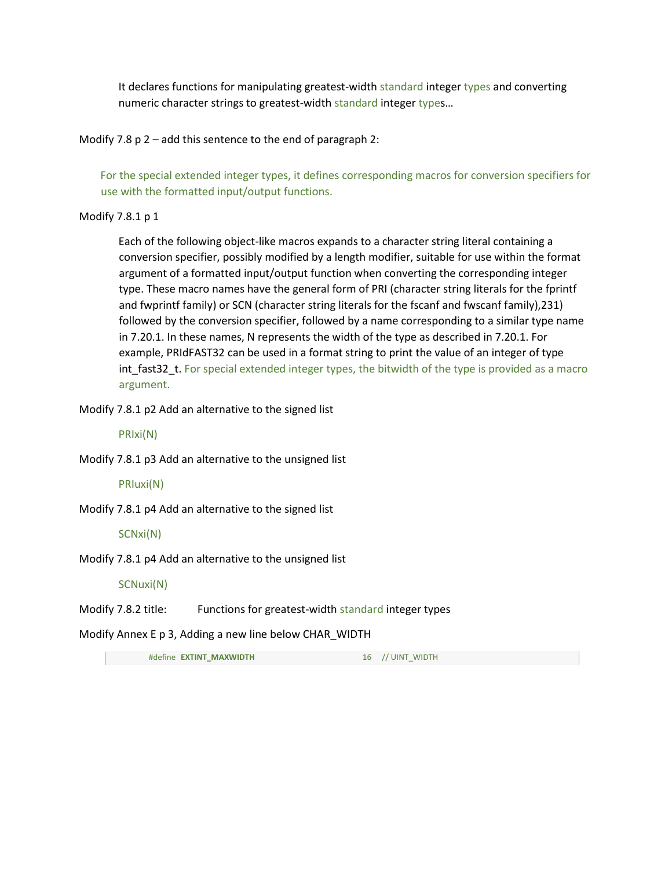It declares functions for manipulating greatest-width standard integer types and converting numeric character strings to greatest-width standard integer types...

Modify 7.8 p 2 – add this sentence to the end of paragraph 2:

For the special extended integer types, it defines corresponding macros for conversion specifiers for use with the formatted input/output functions.

Modify 7.8.1 p 1

Each of the following object-like macros expands to a character string literal containing a conversion specifier, possibly modified by a length modifier, suitable for use within the format argument of a formatted input/output function when converting the corresponding integer type. These macro names have the general form of PRI (character string literals for the fprintf and fwprintf family) or SCN (character string literals for the fscanf and fwscanf family),231) followed by the conversion specifier, followed by a name corresponding to a similar type name in 7.20.1. In these names, N represents the width of the type as described in 7.20.1. For example, PRIdFAST32 can be used in a format string to print the value of an integer of type int fast32 t. For special extended integer types, the bitwidth of the type is provided as a macro argument.

Modify 7.8.1 p2 Add an alternative to the signed list

PRIxi(N)

Modify 7.8.1 p3 Add an alternative to the unsigned list

PRIuxi(N)

Modify 7.8.1 p4 Add an alternative to the signed list

SCNxi(N)

Modify 7.8.1 p4 Add an alternative to the unsigned list

SCNuxi(N)

Modify 7.8.2 title: Functions for greatest-width standard integer types

Modify Annex E p 3, Adding a new line below CHAR\_WIDTH

#define **EXTINT\_MAXWIDTH** 16 // UINT\_WIDTH